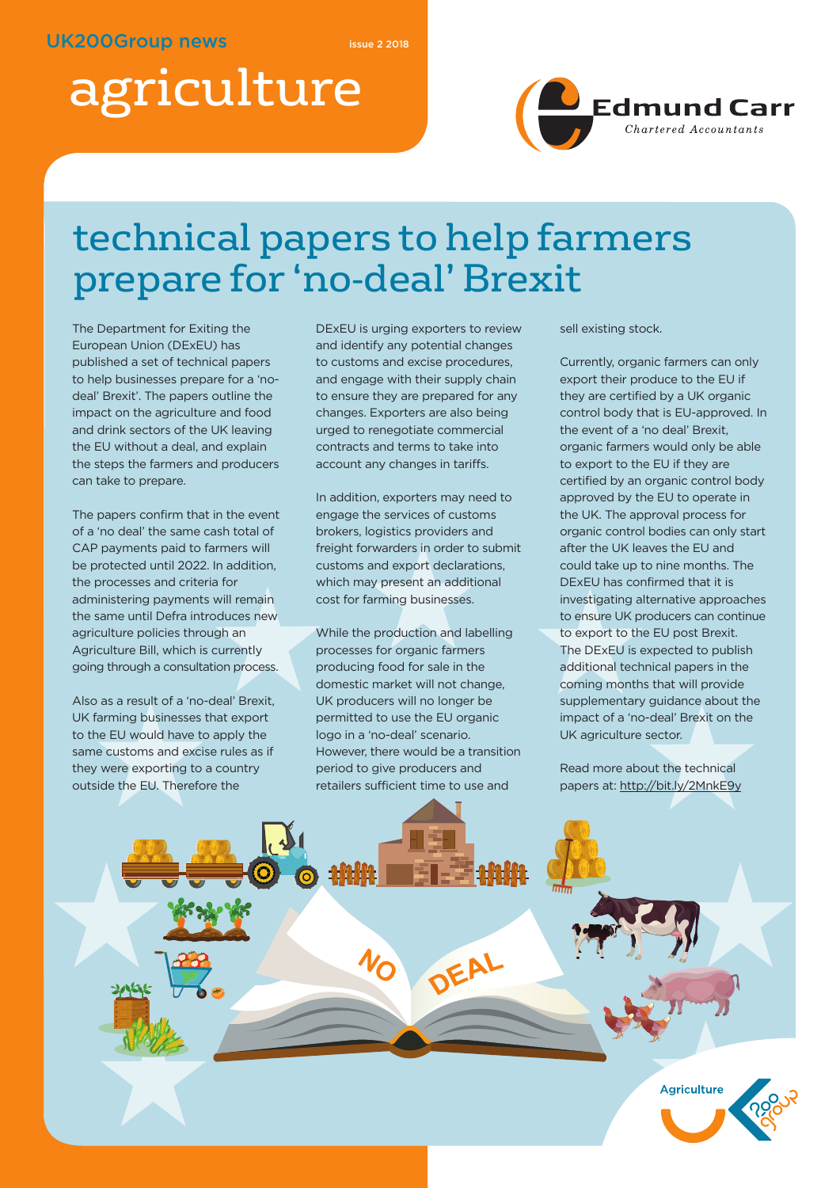# agriculture



### technical papers to help farmers prepare for 'no-deal' Brexit

The Department for Exiting the European Union (DExEU) has published a set of technical papers to help businesses prepare for a 'nodeal' Brexit'. The papers outline the impact on the agriculture and food and drink sectors of the UK leaving the EU without a deal, and explain the steps the farmers and producers can take to prepare.

The papers confirm that in the event of a 'no deal' the same cash total of CAP payments paid to farmers will be protected until 2022. In addition, the processes and criteria for administering payments will remain the same until Defra introduces new agriculture policies through an Agriculture Bill, which is currently going through a consultation process.

Also as a result of a 'no-deal' Brexit, UK farming businesses that export to the EU would have to apply the same customs and excise rules as if they were exporting to a country outside the EU. Therefore the

DExEU is urging exporters to review and identify any potential changes to customs and excise procedures, and engage with their supply chain to ensure they are prepared for any changes. Exporters are also being urged to renegotiate commercial contracts and terms to take into account any changes in tariffs.

In addition, exporters may need to engage the services of customs brokers, logistics providers and freight forwarders in order to submit customs and export declarations, which may present an additional cost for farming businesses.

While the production and labelling processes for organic farmers producing food for sale in the domestic market will not change, UK producers will no longer be permitted to use the EU organic logo in a 'no-deal' scenario. However, there would be a transition period to give producers and retailers sufficient time to use and

**NO**

DEAL

sell existing stock.

Currently, organic farmers can only export their produce to the EU if they are certified by a UK organic control body that is EU-approved. In the event of a 'no deal' Brexit, organic farmers would only be able to export to the EU if they are certified by an organic control body approved by the EU to operate in the UK. The approval process for organic control bodies can only start after the UK leaves the EU and could take up to nine months. The DExEU has confirmed that it is investigating alternative approaches to ensure UK producers can continue to export to the EU post Brexit. The DExEU is expected to publish additional technical papers in the coming months that will provide supplementary guidance about the impact of a 'no-deal' Brexit on the UK agriculture sector.

Read more about the technical papers at: http://bit.ly/2MnkE9y

**Agriculture**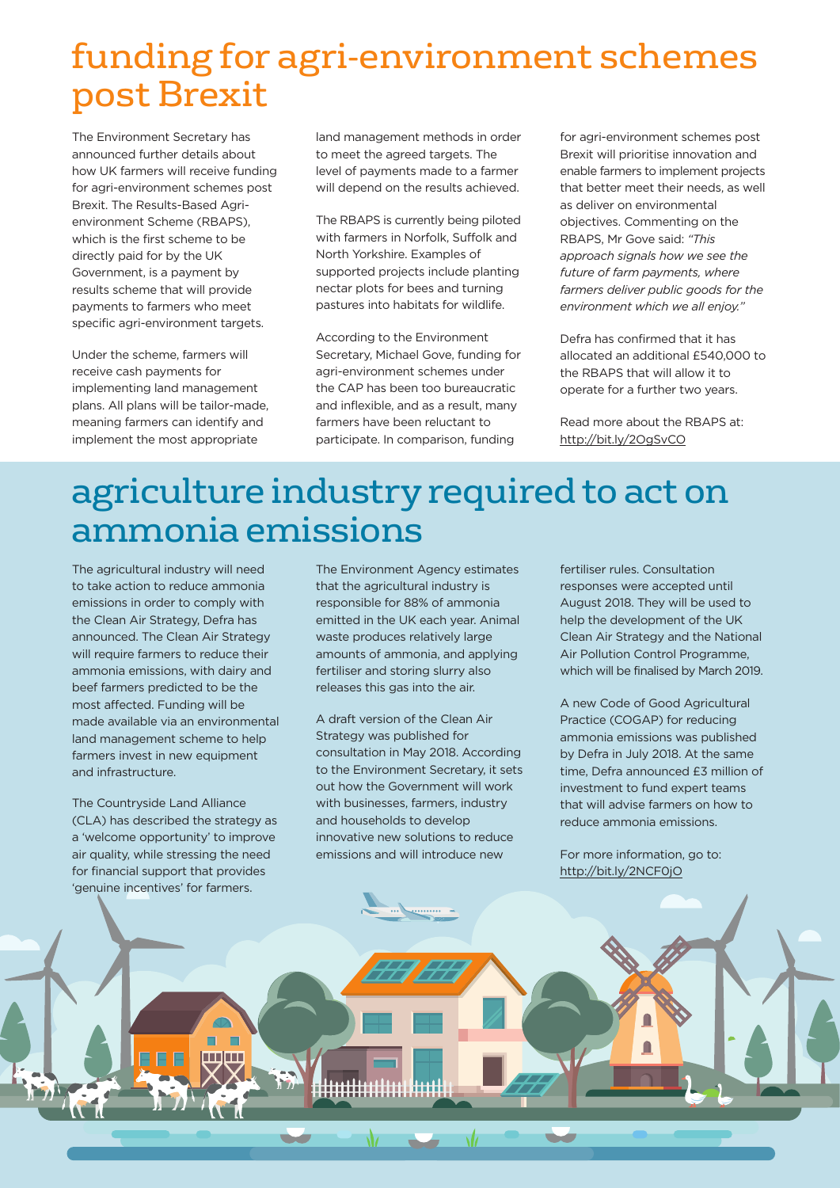### funding for agri-environment schemes post Brexit

The Environment Secretary has announced further details about how UK farmers will receive funding for agri-environment schemes post Brexit. The Results-Based Agrienvironment Scheme (RBAPS), which is the first scheme to be directly paid for by the UK Government, is a payment by results scheme that will provide payments to farmers who meet specific agri-environment targets.

Under the scheme, farmers will receive cash payments for implementing land management plans. All plans will be tailor-made, meaning farmers can identify and implement the most appropriate

land management methods in order to meet the agreed targets. The level of payments made to a farmer will depend on the results achieved.

The RBAPS is currently being piloted with farmers in Norfolk, Suffolk and North Yorkshire. Examples of supported projects include planting nectar plots for bees and turning pastures into habitats for wildlife.

According to the Environment Secretary, Michael Gove, funding for agri-environment schemes under the CAP has been too bureaucratic and inflexible, and as a result, many farmers have been reluctant to participate. In comparison, funding

for agri-environment schemes post Brexit will prioritise innovation and enable farmers to implement projects that better meet their needs, as well as deliver on environmental objectives. Commenting on the RBAPS, Mr Gove said: *"This approach signals how we see the future of farm payments, where farmers deliver public goods for the environment which we all enjoy."*

Defra has confirmed that it has allocated an additional £540,000 to the RBAPS that will allow it to operate for a further two years.

Read more about the RBAPS at: http://bit.ly/2OgSvCO

### agriculture industry required to act on ammonia emissions

The agricultural industry will need to take action to reduce ammonia emissions in order to comply with the Clean Air Strategy, Defra has announced. The Clean Air Strategy will require farmers to reduce their ammonia emissions, with dairy and beef farmers predicted to be the most affected. Funding will be made available via an environmental land management scheme to help farmers invest in new equipment and infrastructure.

The Countryside Land Alliance (CLA) has described the strategy as a 'welcome opportunity' to improve air quality, while stressing the need for financial support that provides 'genuine incentives' for farmers.

EE

<u>Inn album</u>

The Environment Agency estimates that the agricultural industry is responsible for 88% of ammonia emitted in the UK each year. Animal waste produces relatively large amounts of ammonia, and applying fertiliser and storing slurry also releases this gas into the air.

A draft version of the Clean Air Strategy was published for consultation in May 2018. According to the Environment Secretary, it sets out how the Government will work with businesses, farmers, industry and households to develop innovative new solutions to reduce emissions and will introduce new

. . . . . . . . . . .

 $\sqrt{a}$ 

Λz

fertiliser rules. Consultation responses were accepted until August 2018. They will be used to help the development of the UK Clean Air Strategy and the National Air Pollution Control Programme, which will be finalised by March 2019.

A new Code of Good Agricultural Practice (COGAP) for reducing ammonia emissions was published by Defra in July 2018. At the same time, Defra announced £3 million of investment to fund expert teams that will advise farmers on how to reduce ammonia emissions.

For more information, go to: http://bit.ly/2NCF0jO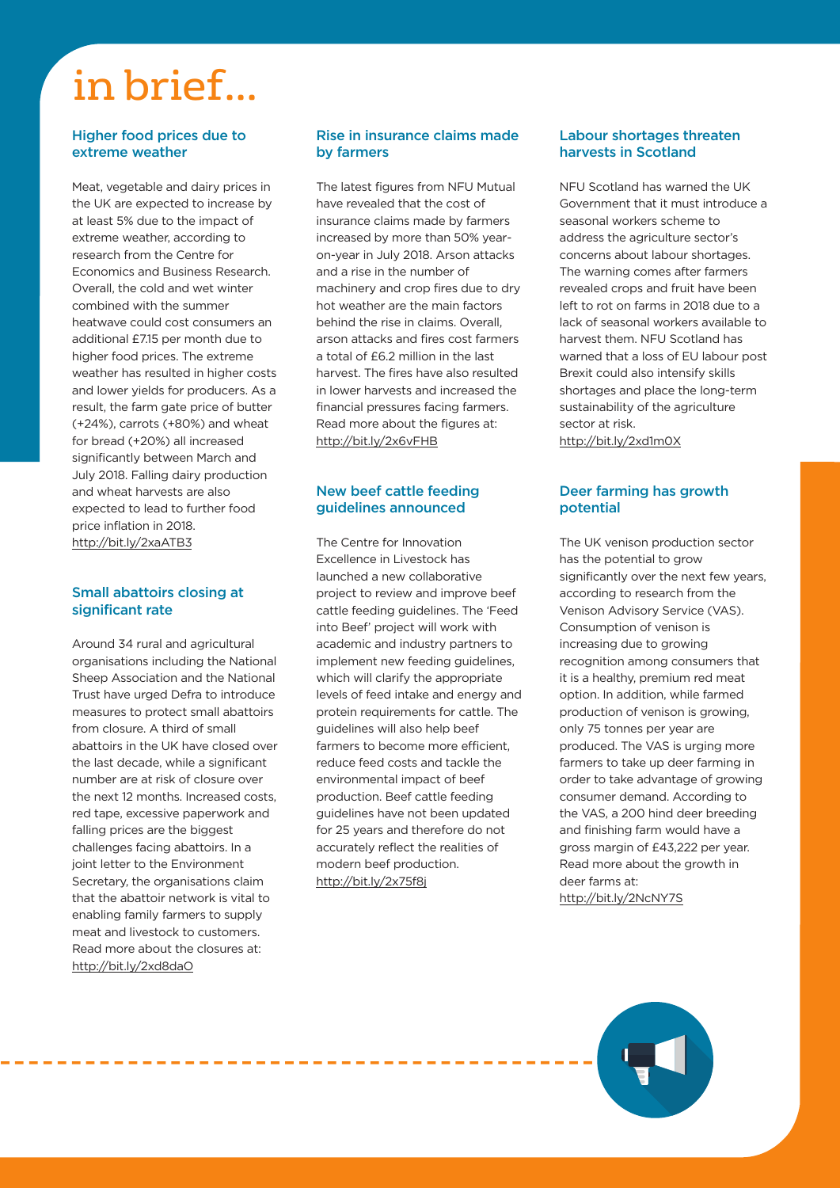## in brief...

#### **Higher food prices due to extreme weather**

Meat, vegetable and dairy prices in the UK are expected to increase by at least 5% due to the impact of extreme weather, according to research from the Centre for Economics and Business Research. Overall, the cold and wet winter combined with the summer heatwave could cost consumers an additional £7.15 per month due to higher food prices. The extreme weather has resulted in higher costs and lower yields for producers. As a result, the farm gate price of butter (+24%), carrots (+80%) and wheat for bread (+20%) all increased significantly between March and July 2018. Falling dairy production and wheat harvests are also expected to lead to further food price inflation in 2018. http://bit.ly/2xaATB3

#### **Small abattoirs closing at significant rate**

Around 34 rural and agricultural organisations including the National Sheep Association and the National Trust have urged Defra to introduce measures to protect small abattoirs from closure. A third of small abattoirs in the UK have closed over the last decade, while a significant number are at risk of closure over the next 12 months. Increased costs, red tape, excessive paperwork and falling prices are the biggest challenges facing abattoirs. In a joint letter to the Environment Secretary, the organisations claim that the abattoir network is vital to enabling family farmers to supply meat and livestock to customers. Read more about the closures at: http://bit.ly/2xd8daO

**All and All and All and All and All** 

#### **Rise in insurance claims made by farmers**

The latest figures from NFU Mutual have revealed that the cost of insurance claims made by farmers increased by more than 50% yearon-year in July 2018. Arson attacks and a rise in the number of machinery and crop fires due to dry hot weather are the main factors behind the rise in claims. Overall, arson attacks and fires cost farmers a total of £6.2 million in the last harvest. The fires have also resulted in lower harvests and increased the financial pressures facing farmers. Read more about the figures at: http://bit.ly/2x6vFHB

#### **New beef cattle feeding guidelines announced**

The Centre for Innovation Excellence in Livestock has launched a new collaborative project to review and improve beef cattle feeding guidelines. The 'Feed into Beef' project will work with academic and industry partners to implement new feeding guidelines, which will clarify the appropriate levels of feed intake and energy and protein requirements for cattle. The guidelines will also help beef farmers to become more efficient, reduce feed costs and tackle the environmental impact of beef production. Beef cattle feeding guidelines have not been updated for 25 years and therefore do not accurately reflect the realities of modern beef production. http://bit.ly/2x75f8j

#### **Labour shortages threaten harvests in Scotland**

NFU Scotland has warned the UK Government that it must introduce a seasonal workers scheme to address the agriculture sector's concerns about labour shortages. The warning comes after farmers revealed crops and fruit have been left to rot on farms in 2018 due to a lack of seasonal workers available to harvest them. NFU Scotland has warned that a loss of EU labour post Brexit could also intensify skills shortages and place the long-term sustainability of the agriculture sector at risk. http://bit.ly/2xd1m0X

#### **Deer farming has growth potential**

The UK venison production sector has the potential to grow significantly over the next few years, according to research from the Venison Advisory Service (VAS). Consumption of venison is increasing due to growing recognition among consumers that it is a healthy, premium red meat option. In addition, while farmed production of venison is growing, only 75 tonnes per year are produced. The VAS is urging more farmers to take up deer farming in order to take advantage of growing consumer demand. According to the VAS, a 200 hind deer breeding and finishing farm would have a gross margin of £43,222 per year. Read more about the growth in deer farms at: http://bit.ly/2NcNY7S